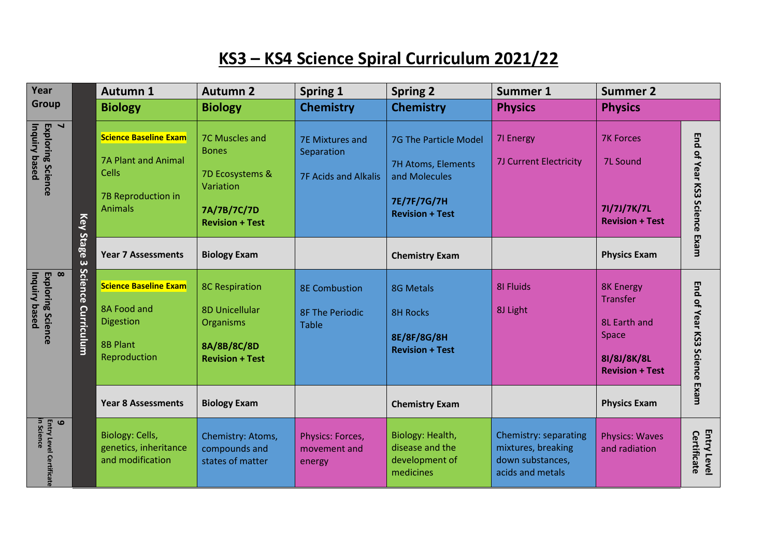## **KS3 – KS4 Science Spiral Curriculum 2021/22**

| Year                                                              |                                       | <b>Autumn 1</b>                                                                                                    | <b>Autumn 2</b>                                                                                         | <b>Spring 1</b>                                                     | <b>Spring 2</b>                                                                                       | <b>Summer 1</b>                                                                     | <b>Summer 2</b>                                                                                              |                                     |
|-------------------------------------------------------------------|---------------------------------------|--------------------------------------------------------------------------------------------------------------------|---------------------------------------------------------------------------------------------------------|---------------------------------------------------------------------|-------------------------------------------------------------------------------------------------------|-------------------------------------------------------------------------------------|--------------------------------------------------------------------------------------------------------------|-------------------------------------|
| <b>Group</b>                                                      |                                       | <b>Biology</b>                                                                                                     | <b>Biology</b>                                                                                          | <b>Chemistry</b>                                                    | <b>Chemistry</b>                                                                                      | <b>Physics</b>                                                                      | <b>Physics</b>                                                                                               |                                     |
| $\blacktriangleleft$<br>Inquiry based<br><b>Exploring Science</b> | Key<br>Stage<br>$\boldsymbol{\omega}$ | <b>Science Baseline Exam</b><br><b>7A Plant and Animal</b><br><b>Cells</b><br>7B Reproduction in<br><b>Animals</b> | 7C Muscles and<br><b>Bones</b><br>7D Ecosystems &<br>Variation<br>7A/7B/7C/7D<br><b>Revision + Test</b> | <b>7E Mixtures and</b><br>Separation<br><b>7F Acids and Alkalis</b> | 7G The Particle Model<br>7H Atoms, Elements<br>and Molecules<br>7E/7F/7G/7H<br><b>Revision + Test</b> | 71 Energy<br>7J Current Electricity                                                 | <b>7K Forces</b><br><b>7L Sound</b><br>71/7J/7K/7L<br><b>Revision + Test</b>                                 | End of Year KS3 Science Exam        |
|                                                                   |                                       | <b>Year 7 Assessments</b>                                                                                          | <b>Biology Exam</b>                                                                                     |                                                                     | <b>Chemistry Exam</b>                                                                                 |                                                                                     | <b>Physics Exam</b>                                                                                          |                                     |
| $\infty$<br>Inquiry based<br><b>Exploring Science</b>             | Science<br>Curriculum                 | <b>Science Baseline Exam</b><br>8A Food and<br>Digestion<br><b>8B Plant</b><br>Reproduction                        | <b>8C Respiration</b><br><b>8D Unicellular</b><br>Organisms<br>8A/8B/8C/8D<br><b>Revision + Test</b>    | <b>8E Combustion</b><br><b>8F The Periodic</b><br><b>Table</b>      | <b>8G Metals</b><br><b>8H Rocks</b><br>8E/8F/8G/8H<br><b>Revision + Test</b>                          | <b>8I Fluids</b><br>8J Light                                                        | <b>8K Energy</b><br><b>Transfer</b><br><b>8L Earth and</b><br>Space<br>81/8J/8K/8L<br><b>Revision + Test</b> | <b>Fragment XS3 Science Example</b> |
|                                                                   |                                       | <b>Year 8 Assessments</b>                                                                                          | <b>Biology Exam</b>                                                                                     |                                                                     | <b>Chemistry Exam</b>                                                                                 |                                                                                     | <b>Physics Exam</b>                                                                                          |                                     |
| <b>Entry Level Certificat</b><br>$\bullet$<br>n Science           |                                       | Biology: Cells,<br>genetics, inheritance<br>and modification                                                       | Chemistry: Atoms,<br>compounds and<br>states of matter                                                  | Physics: Forces,<br>movement and<br>energy                          | Biology: Health,<br>disease and the<br>development of<br>medicines                                    | Chemistry: separating<br>mixtures, breaking<br>down substances,<br>acids and metals | <b>Physics: Waves</b><br>and radiation                                                                       | <b>Entry Level</b><br>Certificate   |